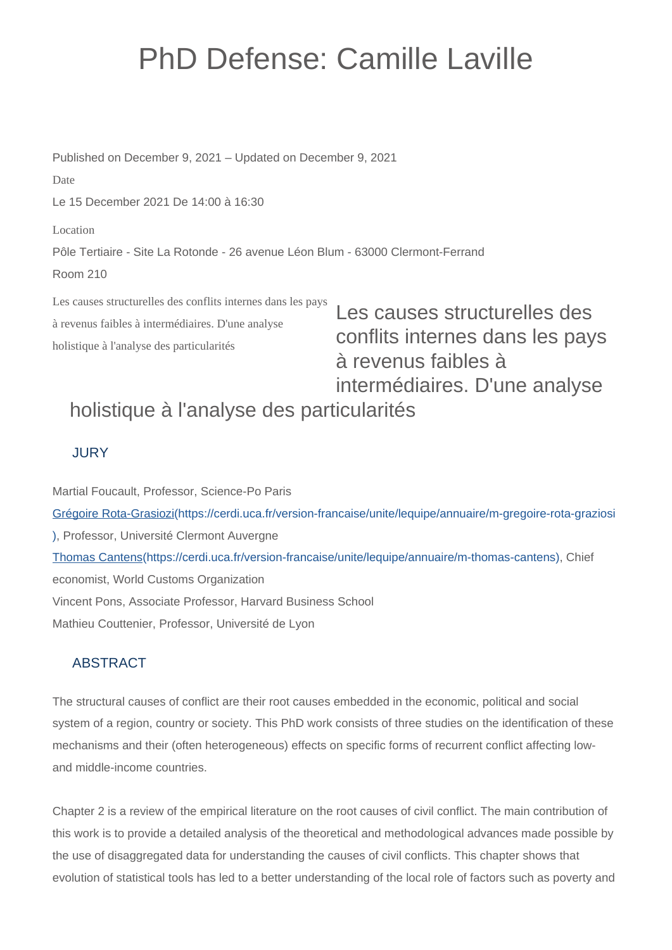# PhD Defense: Camille Laville

Les causes structurelles des conflits internes dans les pays à revenus faibles à intermédiaires. D'une analyse Published on December 9, 2021 – Updated on December 9, 2021 Date Le 15 December 2021 De 14:00 à 16:30 Location Pôle Tertiaire - Site La Rotonde - 26 avenue Léon Blum - 63000 Clermont-Ferrand Room 210

holistique à l'analyse des particularités

Les causes structurelles des conflits internes dans les pays à revenus faibles à intermédiaires. D'une analyse

## holistique à l'analyse des particularités

#### **JURY**

Martial Foucault, Professor, Science-Po Paris [Grégoire Rota-Grasiozi\(https://cerdi.uca.fr/version-francaise/unite/lequipe/annuaire/m-gregoire-rota-graziosi](https://cerdi.uca.fr/version-francaise/unite/lequipe/annuaire/m-gregoire-rota-graziosi) [\)](https://cerdi.uca.fr/version-francaise/unite/lequipe/annuaire/m-gregoire-rota-graziosi), Professor, Université Clermont Auvergne [Thomas Cantens\(https://cerdi.uca.fr/version-francaise/unite/lequipe/annuaire/m-thomas-cantens\),](https://cerdi.uca.fr/version-francaise/unite/lequipe/annuaire/m-thomas-cantens) Chief economist, World Customs Organization Vincent Pons, Associate Professor, Harvard Business School Mathieu Couttenier, Professor, Université de Lyon

### **ABSTRACT**

The structural causes of conflict are their root causes embedded in the economic, political and social system of a region, country or society. This PhD work consists of three studies on the identification of these mechanisms and their (often heterogeneous) effects on specific forms of recurrent conflict affecting lowand middle-income countries.

Chapter 2 is a review of the empirical literature on the root causes of civil conflict. The main contribution of this work is to provide a detailed analysis of the theoretical and methodological advances made possible by the use of disaggregated data for understanding the causes of civil conflicts. This chapter shows that evolution of statistical tools has led to a better understanding of the local role of factors such as poverty and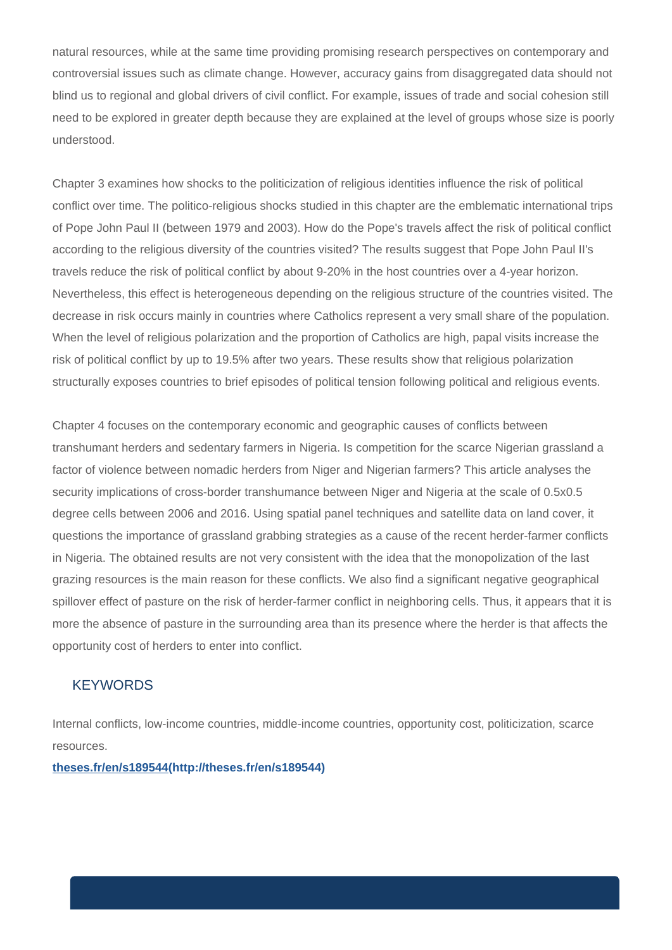natural resources, while at the same time providing promising research perspectives on contemporary and controversial issues such as climate change. However, accuracy gains from disaggregated data should not blind us to regional and global drivers of civil conflict. For example, issues of trade and social cohesion still need to be explored in greater depth because they are explained at the level of groups whose size is poorly understood.

Chapter 3 examines how shocks to the politicization of religious identities influence the risk of political conflict over time. The politico-religious shocks studied in this chapter are the emblematic international trips of Pope John Paul II (between 1979 and 2003). How do the Pope's travels affect the risk of political conflict according to the religious diversity of the countries visited? The results suggest that Pope John Paul II's travels reduce the risk of political conflict by about 9-20% in the host countries over a 4-year horizon. Nevertheless, this effect is heterogeneous depending on the religious structure of the countries visited. The decrease in risk occurs mainly in countries where Catholics represent a very small share of the population. When the level of religious polarization and the proportion of Catholics are high, papal visits increase the risk of political conflict by up to 19.5% after two years. These results show that religious polarization structurally exposes countries to brief episodes of political tension following political and religious events.

Chapter 4 focuses on the contemporary economic and geographic causes of conflicts between transhumant herders and sedentary farmers in Nigeria. Is competition for the scarce Nigerian grassland a factor of violence between nomadic herders from Niger and Nigerian farmers? This article analyses the security implications of cross-border transhumance between Niger and Nigeria at the scale of 0.5x0.5 degree cells between 2006 and 2016. Using spatial panel techniques and satellite data on land cover, it questions the importance of grassland grabbing strategies as a cause of the recent herder-farmer conflicts in Nigeria. The obtained results are not very consistent with the idea that the monopolization of the last grazing resources is the main reason for these conflicts. We also find a significant negative geographical spillover effect of pasture on the risk of herder-farmer conflict in neighboring cells. Thus, it appears that it is more the absence of pasture in the surrounding area than its presence where the herder is that affects the opportunity cost of herders to enter into conflict.

#### **KEYWORDS**

Internal conflicts, low-income countries, middle-income countries, opportunity cost, politicization, scarce resources.

**[theses.fr/en/s189544\(http://theses.fr/en/s189544\)](http://theses.fr/en/s189544)**